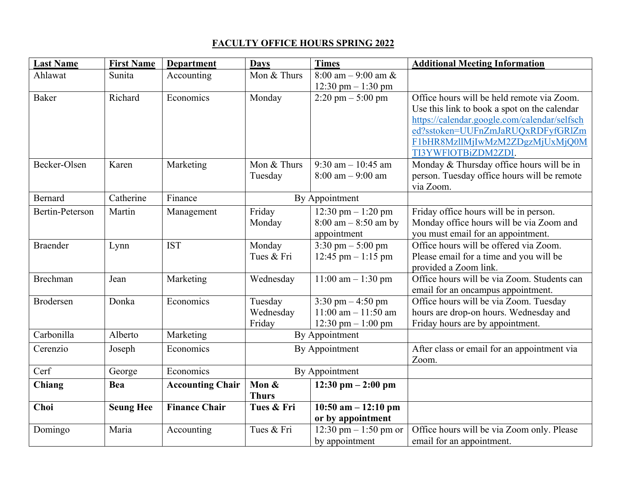## **FACULTY OFFICE HOURS SPRING 2022**

| <b>Last Name</b>       | <b>First Name</b> | <b>Department</b>       | <b>Days</b>    | <b>Times</b>                         | <b>Additional Meeting Information</b>        |
|------------------------|-------------------|-------------------------|----------------|--------------------------------------|----------------------------------------------|
| Ahlawat                | Sunita            | Accounting              | Mon & Thurs    | $8:00$ am $-9:00$ am &               |                                              |
|                        |                   |                         |                | 12:30 pm $- 1:30$ pm                 |                                              |
| <b>Baker</b>           | Richard           | Economics               | Monday         | $2:20 \text{ pm} - 5:00 \text{ pm}$  | Office hours will be held remote via Zoom.   |
|                        |                   |                         |                |                                      | Use this link to book a spot on the calendar |
|                        |                   |                         |                |                                      | https://calendar.google.com/calendar/selfsch |
|                        |                   |                         |                |                                      | ed?sstoken=UUFnZmJaRUQxRDFyfGRlZm            |
|                        |                   |                         |                |                                      | F1bHR8MzllMjIwMzM2ZDgzMjUxMjQ0M              |
|                        |                   |                         |                |                                      | TI3YWFlOTBiZDM2ZDI.                          |
| Becker-Olsen           | Karen             | Marketing               | Mon & Thurs    | 9:30 am $- 10:45$ am                 | Monday & Thursday office hours will be in    |
|                        |                   |                         | Tuesday        | $8:00 \text{ am} - 9:00 \text{ am}$  | person. Tuesday office hours will be remote  |
|                        |                   |                         |                |                                      | via Zoom.                                    |
| <b>Bernard</b>         | Catherine         | Finance                 | By Appointment |                                      |                                              |
| <b>Bertin-Peterson</b> | Martin            | Management              | Friday         | 12:30 pm $-1:20$ pm                  | Friday office hours will be in person.       |
|                        |                   |                         | Monday         | $8:00$ am $-8:50$ am by              | Monday office hours will be via Zoom and     |
|                        |                   |                         |                | appointment                          | you must email for an appointment.           |
| <b>Braender</b>        | Lynn              | <b>IST</b>              | Monday         | 3:30 pm $-$ 5:00 pm                  | Office hours will be offered via Zoom.       |
|                        |                   |                         | Tues & Fri     | 12:45 pm $-1:15$ pm                  | Please email for a time and you will be      |
|                        |                   |                         |                |                                      | provided a Zoom link.                        |
| Brechman               | Jean              | Marketing               | Wednesday      | $11:00$ am $-1:30$ pm                | Office hours will be via Zoom. Students can  |
|                        |                   |                         |                |                                      | email for an oncampus appointment.           |
| Brodersen              | Donka             | Economics               | Tuesday        | 3:30 pm $-4:50$ pm                   | Office hours will be via Zoom. Tuesday       |
|                        |                   |                         | Wednesday      | $11:00$ am $- 11:50$ am              | hours are drop-on hours. Wednesday and       |
|                        |                   |                         | Friday         | 12:30 pm $-1:00$ pm                  | Friday hours are by appointment.             |
| Carbonilla             | Alberto           | Marketing               | By Appointment |                                      |                                              |
| Cerenzio               | Joseph            | Economics               |                | By Appointment                       | After class or email for an appointment via  |
|                        |                   |                         |                |                                      | Zoom.                                        |
| Cerf                   | George            | Economics               | By Appointment |                                      |                                              |
| Chiang                 | Bea               | <b>Accounting Chair</b> | Mon &          | $12:30 \text{ pm} - 2:00 \text{ pm}$ |                                              |
|                        |                   |                         | <b>Thurs</b>   |                                      |                                              |
| Choi                   | <b>Seung Hee</b>  | <b>Finance Chair</b>    | Tues & Fri     | 10:50 am $-12:10$ pm                 |                                              |
|                        |                   |                         |                | or by appointment                    |                                              |
| Domingo                | Maria             | Accounting              | Tues & Fri     | 12:30 pm $- 1:50$ pm or              | Office hours will be via Zoom only. Please   |
|                        |                   |                         |                | by appointment                       | email for an appointment.                    |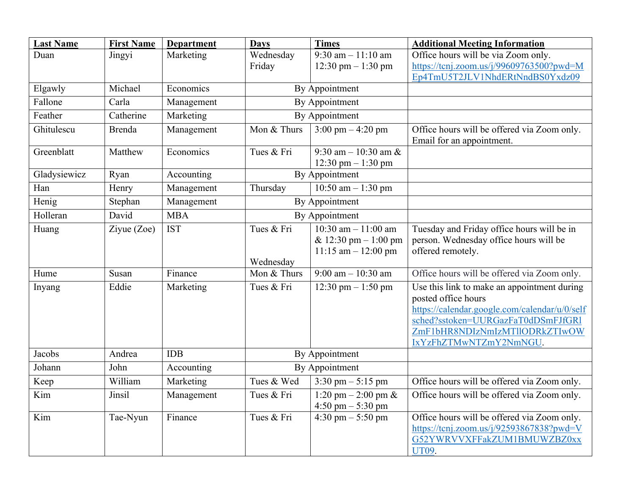| <b>Last Name</b> | <b>First Name</b> | <b>Department</b> | <b>Days</b>              | <b>Times</b>                        | <b>Additional Meeting Information</b>                                    |
|------------------|-------------------|-------------------|--------------------------|-------------------------------------|--------------------------------------------------------------------------|
| Duan             | Jingyi            | Marketing         | Wednesday                | 9:30 am $-11:10$ am                 | Office hours will be via Zoom only.                                      |
|                  |                   |                   | Friday                   | 12:30 pm $-1:30$ pm                 | https://tcnj.zoom.us/j/99609763500?pwd=M                                 |
| Elgawly          | Michael           | Economics         |                          | By Appointment                      | Ep4TmU5T2JLV1NhdERtNndBS0Yxdz09                                          |
| Fallone          | Carla             | Management        |                          | By Appointment                      |                                                                          |
|                  |                   |                   |                          |                                     |                                                                          |
| Feather          | Catherine         | Marketing         |                          | By Appointment                      |                                                                          |
| Ghitulescu       | <b>Brenda</b>     | Management        | Mon & Thurs              | $3:00 \text{ pm} - 4:20 \text{ pm}$ | Office hours will be offered via Zoom only.<br>Email for an appointment. |
| Greenblatt       | Matthew           | Economics         | Tues & Fri               | 9:30 am $-10:30$ am &               |                                                                          |
|                  |                   |                   |                          | 12:30 pm $- 1:30$ pm                |                                                                          |
| Gladysiewicz     | Ryan              | Accounting        | By Appointment           |                                     |                                                                          |
| Han              | Henry             | Management        | Thursday                 | 10:50 am $-1:30$ pm                 |                                                                          |
| Henig            | Stephan           | Management        | By Appointment           |                                     |                                                                          |
| Holleran         | David             | <b>MBA</b>        | By Appointment           |                                     |                                                                          |
| Huang            | Ziyue (Zoe)       | <b>IST</b>        | Tues & Fri               | 10:30 am $- 11:00$ am               | Tuesday and Friday office hours will be in                               |
|                  |                   |                   |                          | & 12:30 pm $-1:00$ pm               | person. Wednesday office hours will be                                   |
|                  |                   |                   |                          | $11:15$ am $- 12:00$ pm             | offered remotely.                                                        |
| Hume             | Susan             | Finance           | Wednesday<br>Mon & Thurs | $9:00$ am $-10:30$ am               | Office hours will be offered via Zoom only.                              |
|                  |                   |                   |                          |                                     |                                                                          |
| Inyang           | Eddie             | Marketing         | Tues & Fri               | 12:30 pm $-1:50$ pm                 | Use this link to make an appointment during<br>posted office hours       |
|                  |                   |                   |                          |                                     | https://calendar.google.com/calendar/u/0/self                            |
|                  |                   |                   |                          |                                     | sched?sstoken=UURGazFaT0dDSmFJfGRl                                       |
|                  |                   |                   |                          |                                     | ZmF1bHR8NDIzNmIzMTllODRkZTIwOW                                           |
|                  |                   |                   |                          |                                     | IxYzFhZTMwNTZmY2NmNGU.                                                   |
| Jacobs           | Andrea            | <b>IDB</b>        | By Appointment           |                                     |                                                                          |
| Johann           | John              | Accounting        | By Appointment           |                                     |                                                                          |
| Keep             | William           | Marketing         | Tues & Wed               | 3:30 pm $-$ 5:15 pm                 | Office hours will be offered via Zoom only.                              |
| Kim              | Jinsil            | Management        | Tues & Fri               | 1:20 pm $- 2:00$ pm &               | Office hours will be offered via Zoom only.                              |
|                  |                   |                   |                          | 4:50 pm $-$ 5:30 pm                 |                                                                          |
| Kim              | Tae-Nyun          | Finance           | Tues & Fri               | $4:30 \text{ pm} - 5:50 \text{ pm}$ | Office hours will be offered via Zoom only.                              |
|                  |                   |                   |                          |                                     | https://tcnj.zoom.us/j/92593867838?pwd=V                                 |
|                  |                   |                   |                          |                                     | G52YWRVVXFFakZUM1BMUWZBZ0xx                                              |
|                  |                   |                   |                          |                                     | UT09.                                                                    |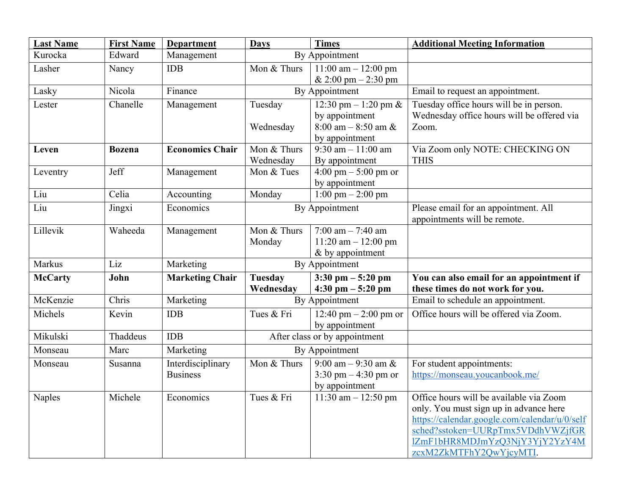| <b>Last Name</b> | <b>First Name</b> | <b>Department</b>      | <b>Days</b>                   | <b>Times</b>                        | <b>Additional Meeting Information</b>         |
|------------------|-------------------|------------------------|-------------------------------|-------------------------------------|-----------------------------------------------|
| Kurocka          | Edward            | Management             | By Appointment                |                                     |                                               |
| Lasher           | Nancy             | <b>IDB</b>             | Mon & Thurs                   | 11:00 am $-$ 12:00 pm               |                                               |
|                  |                   |                        |                               | & 2:00 pm $-$ 2:30 pm               |                                               |
| Lasky            | Nicola            | Finance                |                               | By Appointment                      | Email to request an appointment.              |
| Lester           | Chanelle          | Management             | Tuesday                       | 12:30 pm $-1:20$ pm &               | Tuesday office hours will be in person.       |
|                  |                   |                        |                               | by appointment                      | Wednesday office hours will be offered via    |
|                  |                   |                        | Wednesday                     | $8:00$ am $-8:50$ am &              | Zoom.                                         |
|                  |                   |                        |                               | by appointment                      |                                               |
| Leven            | <b>Bozena</b>     | <b>Economics Chair</b> | Mon & Thurs                   | 9:30 am $-11:00$ am                 | Via Zoom only NOTE: CHECKING ON               |
|                  |                   |                        | Wednesday                     | By appointment                      | <b>THIS</b>                                   |
| Leventry         | Jeff              | Management             | Mon & Tues                    | 4:00 pm $-$ 5:00 pm or              |                                               |
| Liu              | Celia             |                        | Monday                        | by appointment                      |                                               |
|                  |                   | Accounting             |                               | $1:00 \text{ pm} - 2:00 \text{ pm}$ |                                               |
| Liu              | Jingxi            | Economics              | By Appointment                |                                     | Please email for an appointment. All          |
| Lillevik         | Waheeda           |                        | Mon & Thurs                   | 7:00 am $-$ 7:40 am                 | appointments will be remote.                  |
|                  |                   | Management             | Monday                        | $11:20$ am $-12:00$ pm              |                                               |
|                  |                   |                        |                               | & by appointment                    |                                               |
| Markus           | Liz               | Marketing              | By Appointment                |                                     |                                               |
| <b>McCarty</b>   | John              | <b>Marketing Chair</b> | <b>Tuesday</b>                | $3:30$ pm $-5:20$ pm                | You can also email for an appointment if      |
|                  |                   |                        | Wednesday                     | 4:30 pm $-5:20$ pm                  | these times do not work for you.              |
| McKenzie         | Chris             | Marketing              | By Appointment                |                                     | Email to schedule an appointment.             |
| Michels          | Kevin             | <b>IDB</b>             | Tues & Fri                    | 12:40 pm $-$ 2:00 pm or             | Office hours will be offered via Zoom.        |
|                  |                   |                        |                               | by appointment                      |                                               |
| Mikulski         | Thaddeus          | <b>IDB</b>             | After class or by appointment |                                     |                                               |
| Monseau          | Marc              | Marketing              | By Appointment                |                                     |                                               |
| Monseau          | Susanna           | Interdisciplinary      | Mon & Thurs                   | 9:00 am $-$ 9:30 am &               | For student appointments:                     |
|                  |                   | <b>Business</b>        |                               | 3:30 pm $-4:30$ pm or               | https://monseau.youcanbook.me/                |
|                  |                   |                        |                               | by appointment                      |                                               |
| Naples           | Michele           | Economics              | Tues & Fri                    | 11:30 am $- 12:50$ pm               | Office hours will be available via Zoom       |
|                  |                   |                        |                               |                                     | only. You must sign up in advance here        |
|                  |                   |                        |                               |                                     | https://calendar.google.com/calendar/u/0/self |
|                  |                   |                        |                               |                                     | sched?sstoken=UURpTmx5VDdhVWZjfGR             |
|                  |                   |                        |                               |                                     | lZmF1bHR8MDJmYzQ3NjY3YjY2YzY4M                |
|                  |                   |                        |                               |                                     | zcxM2ZkMTFhY2QwYjcyMTI.                       |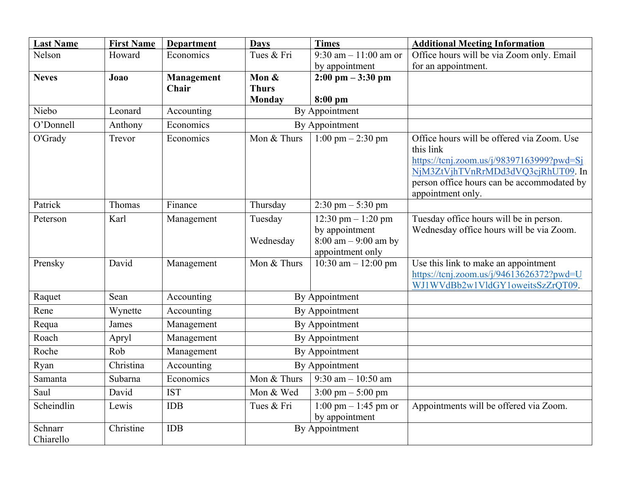| <b>Last Name</b>     | <b>First Name</b> | <b>Department</b> | <b>Days</b>          | <b>Times</b>                                                                                        | <b>Additional Meeting Information</b>                                                                                                                                                                         |
|----------------------|-------------------|-------------------|----------------------|-----------------------------------------------------------------------------------------------------|---------------------------------------------------------------------------------------------------------------------------------------------------------------------------------------------------------------|
| Nelson               | Howard            | Economics         | Tues & Fri           | 9:30 am $-11:00$ am or                                                                              | Office hours will be via Zoom only. Email                                                                                                                                                                     |
|                      |                   |                   |                      | by appointment                                                                                      | for an appointment.                                                                                                                                                                                           |
| <b>Neves</b>         | Joao              | Management        | Mon &                | $2:00 \text{ pm} - 3:30 \text{ pm}$                                                                 |                                                                                                                                                                                                               |
|                      |                   | Chair             | <b>Thurs</b>         |                                                                                                     |                                                                                                                                                                                                               |
| Niebo                | Leonard           |                   | <b>Monday</b>        | $8:00$ pm<br>By Appointment                                                                         |                                                                                                                                                                                                               |
|                      |                   | Accounting        |                      |                                                                                                     |                                                                                                                                                                                                               |
| O'Donnell            | Anthony           | Economics         |                      | By Appointment                                                                                      |                                                                                                                                                                                                               |
| O'Grady              | Trevor            | Economics         | Mon & Thurs          | $\overline{1:00 \text{ pm} - 2:30 \text{ pm}}$                                                      | Office hours will be offered via Zoom. Use<br>this link<br>https://tcnj.zoom.us/j/98397163999?pwd=Sj<br>NjM3ZtVjhTVnRrMDd3dVQ3cjRhUT09. In<br>person office hours can be accommodated by<br>appointment only. |
| Patrick              | Thomas            | Finance           | Thursday             | $2:30 \text{ pm} - 5:30 \text{ pm}$                                                                 |                                                                                                                                                                                                               |
| Peterson             | Karl              | Management        | Tuesday<br>Wednesday | 12:30 pm $-1:20$ pm<br>by appointment<br>$8:00 \text{ am} - 9:00 \text{ am by}$<br>appointment only | Tuesday office hours will be in person.<br>Wednesday office hours will be via Zoom.                                                                                                                           |
| Prensky              | David             | Management        | Mon & Thurs          | 10:30 am $-$ 12:00 pm                                                                               | Use this link to make an appointment<br>https://tcnj.zoom.us/j/94613626372?pwd=U<br>WJ1WVdBb2w1VldGY1oweitsSzZrQT09.                                                                                          |
| Raquet               | Sean              | Accounting        | By Appointment       |                                                                                                     |                                                                                                                                                                                                               |
| Rene                 | Wynette           | Accounting        | By Appointment       |                                                                                                     |                                                                                                                                                                                                               |
| Requa                | James             | Management        | By Appointment       |                                                                                                     |                                                                                                                                                                                                               |
| Roach                | Apryl             | Management        | By Appointment       |                                                                                                     |                                                                                                                                                                                                               |
| Roche                | Rob               | Management        | By Appointment       |                                                                                                     |                                                                                                                                                                                                               |
| Ryan                 | Christina         | Accounting        | By Appointment       |                                                                                                     |                                                                                                                                                                                                               |
| Samanta              | Subarna           | Economics         | Mon & Thurs          | $\frac{9:30 \text{ am} - 10:50 \text{ am}}{9:30 \text{ am}}$                                        |                                                                                                                                                                                                               |
| Saul                 | David             | <b>IST</b>        | Mon & Wed            | $3:00 \text{ pm} - 5:00 \text{ pm}$                                                                 |                                                                                                                                                                                                               |
| Scheindlin           | Lewis             | <b>IDB</b>        | Tues & Fri           | $1:00 \text{ pm} - 1:45 \text{ pm or}$<br>by appointment                                            | Appointments will be offered via Zoom.                                                                                                                                                                        |
| Schnarr<br>Chiarello | Christine         | <b>IDB</b>        |                      | By Appointment                                                                                      |                                                                                                                                                                                                               |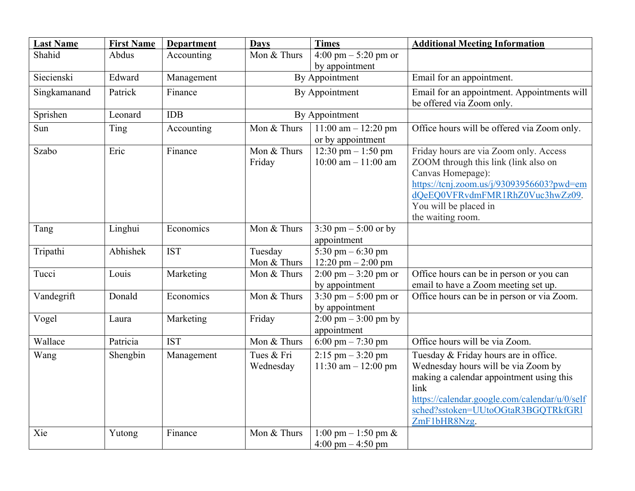| <b>Last Name</b> | <b>First Name</b> | <b>Department</b> | <b>Days</b>             | <b>Times</b>                                                 | <b>Additional Meeting Information</b>                                                                                                                                                                                                   |
|------------------|-------------------|-------------------|-------------------------|--------------------------------------------------------------|-----------------------------------------------------------------------------------------------------------------------------------------------------------------------------------------------------------------------------------------|
| Shahid           | Abdus             | Accounting        | Mon & Thurs             | 4:00 pm $-$ 5:20 pm or<br>by appointment                     |                                                                                                                                                                                                                                         |
| Siecienski       | Edward            | Management        |                         | By Appointment                                               | Email for an appointment.                                                                                                                                                                                                               |
| Singkamanand     | Patrick           | Finance           |                         | By Appointment                                               | Email for an appointment. Appointments will<br>be offered via Zoom only.                                                                                                                                                                |
| Sprishen         | Leonard           | <b>IDB</b>        |                         | By Appointment                                               |                                                                                                                                                                                                                                         |
| Sun              | Ting              | Accounting        | Mon & Thurs             | $11:00$ am $- 12:20$ pm<br>or by appointment                 | Office hours will be offered via Zoom only.                                                                                                                                                                                             |
| Szabo            | Eric              | Finance           | Mon & Thurs<br>Friday   | 12:30 pm $-1:50$ pm<br>$10:00$ am $- 11:00$ am               | Friday hours are via Zoom only. Access<br>ZOOM through this link (link also on<br>Canvas Homepage):<br>https://tcnj.zoom.us/j/93093956603?pwd=em<br>dQeEQ0VFRvdmFMR1RhZ0Vuc3hwZz09.<br>You will be placed in<br>the waiting room.       |
| Tang             | Linghui           | Economics         | Mon & Thurs             | 3:30 pm $-$ 5:00 or by<br>appointment                        |                                                                                                                                                                                                                                         |
| Tripathi         | Abhishek          | <b>IST</b>        | Tuesday<br>Mon & Thurs  | 5:30 pm $-6:30$ pm<br>12:20 pm $- 2:00$ pm                   |                                                                                                                                                                                                                                         |
| Tucci            | Louis             | Marketing         | Mon & Thurs             | $2:00 \text{ pm} - 3:20 \text{ pm}$ or<br>by appointment     | Office hours can be in person or you can<br>email to have a Zoom meeting set up.                                                                                                                                                        |
| Vandegrift       | Donald            | Economics         | Mon & Thurs             | 3:30 pm $-$ 5:00 pm or<br>by appointment                     | Office hours can be in person or via Zoom.                                                                                                                                                                                              |
| Vogel            | Laura             | Marketing         | Friday                  | $2:00 \text{ pm} - 3:00 \text{ pm by}$<br>appointment        |                                                                                                                                                                                                                                         |
| Wallace          | Patricia          | <b>IST</b>        | Mon & Thurs             | 6:00 pm $- 7:30$ pm                                          | Office hours will be via Zoom.                                                                                                                                                                                                          |
| Wang             | Shengbin          | Management        | Tues & Fri<br>Wednesday | $2:15$ pm $-3:20$ pm<br>11:30 am $- 12:00$ pm                | Tuesday & Friday hours are in office.<br>Wednesday hours will be via Zoom by<br>making a calendar appointment using this<br>link<br>https://calendar.google.com/calendar/u/0/self<br>sched?sstoken=UUtoOGtaR3BGQTRkfGRI<br>ZmF1bHR8Nzg. |
| Xie              | Yutong            | Finance           | Mon & Thurs             | 1:00 pm $-$ 1:50 pm &<br>$4:00 \text{ pm} - 4:50 \text{ pm}$ |                                                                                                                                                                                                                                         |